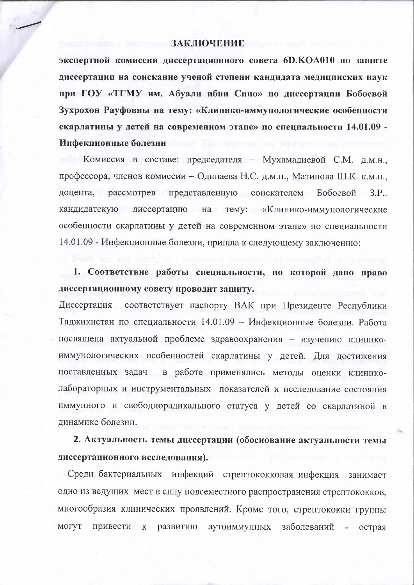## ЗАКЛЮЧЕНИЕ

экспертной комиссии диссертационного совета 6D.КОА010 по защите диссертации на соискание ученой степени кандидата медицинских наук при ГОУ «ТГМУ им. Абуали ибни Сино» по диссертации Бобоевой Зухрохон Рауфовны на тему: «Клинико-иммунологические особенности скарлатины у детей на современном этапе» по специальности 14.01.09 -Инфекционные болезни

Комиссия в составе: председателя - Мухамадиевой С.М. д.м.н., профессора, членов комиссии - Одинаева Н.С. д.м.н., Матинова Ш.К. к.м.н., доцента, рассмотрев представленную соискателем Бобоевой З.Р.. кандидатскую диссертацию на тему: «Клинико-иммунологические особенности скарлатины у детей на современном этапе» по специальности 14.01.09 - Инфекционные болезни, пришла к следующему заключению:

1. Соответствие работы специальности, по которой дано право диссертационному совету проводит защиту.

Диссертация соответствует паспорту ВАК при Президенте Республики Таджикистан по специальности 14.01.09 - Инфекционные болезни. Работа посвящена актуальной проблеме здравоохранения - изучению клиникоиммунологических особенностей скарлатины у детей. Для достижения поставленных задач в работе применялись методы оценки клиниколабораторных и инструментальных показателей и исследование состояния иммунного и свободнорадикального статуса у детей со скарлатиной в динамике болезни.

2. Актуальность темы диссертации (обоснование актуальности темы диссертационного исследования).

Среди бактериальных инфекций стрептококковая инфекция занимает одно из ведущих мест в силу повсеместного распространения стрептококков, многообразия клинических проявлений. Кроме того, стрептококки группы к развитию могут привести аутоиммунных заболеваний острая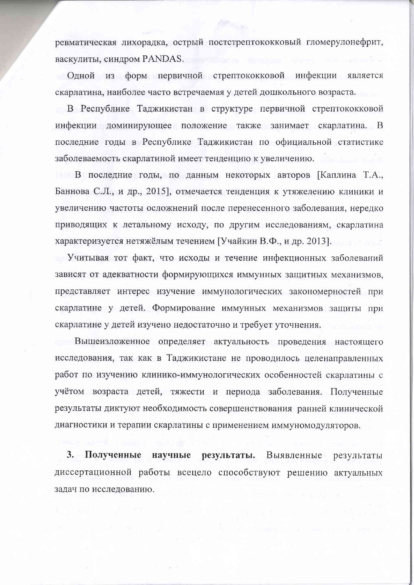ревматическая лихорадка, острый постстрептококковый гломерулонефрит, васкулиты, синдром PANDAS.

Одной из форм первичной стрептококковой инфекции является скарлатина, наиболее часто встречаемая у детей дошкольного возраста.

В Республике Таджикистан в структуре первичной стрептококковой инфекции доминирующее положение также занимает скарлатина. В последние годы в Республике Таджикистан по официальной статистике заболеваемость скарлатиной имеет тенденцию к увеличению.

В последние годы, по данным некоторых авторов [Каплина Т.А., Баннова С.Л., и др., 2015], отмечается тенденция к утяжелению клиники и увеличению частоты осложнений после перенесенного заболевания, нередко приводящих к летальному исходу, по другим исследованиям, скарлатина характеризуется нетяжёлым течением [Учайкин В.Ф., и др. 2013].

Учитывая тот факт, что исходы и течение инфекционных заболеваний зависят от адекватности формирующихся иммунных защитных механизмов, представляет интерес изучение иммунологических закономерностей при скарлатине у детей. Формирование иммунных механизмов защиты при скарлатине у детей изучено недостаточно и требует уточнения.

Вышеизложенное определяет актуальность проведения настоящего исследования, так как в Таджикистане не проводилось целенаправленных работ по изучению клинико-иммунологических особенностей скарлатины с учётом возраста детей, тяжести и периода заболевания. Полученные результаты диктуют необходимость совершенствования ранней клинической диагностики и терапии скарлатины с применением иммуномодуляторов.

 $3.15$ Полученные научные результаты. Выявленные результаты диссертационной работы всецело способствуют решению актуальных задач по исследованию.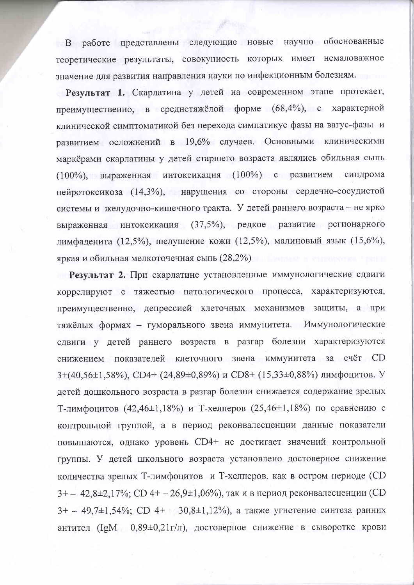В работе представлены следующие новые научно обоснованные теоретические результаты, совокупность которых имеет немаловажное значение для развития направления науки по инфекционным болезням.

Результат 1. Скарлатина у детей на современном этапе протекает, преимущественно, в среднетяжёлой форме (68,4%), с характерной клинической симптоматикой без перехода симпатикус фазы на вагус-фазы и развитием осложнений в 19,6% случаев. Основными клиническими маркёрами скарлатины у детей старшего возраста являлись обильная сыпь (100%), выраженная интоксикация (100%) с развитием синдрома нейротоксикоза (14,3%), нарушения со стороны сердечно-сосудистой системы и желудочно-кишечного тракта. У детей раннего возраста - не ярко выраженная интоксикация (37,5%), редкое развитие регионарного лимфаденита (12,5%), шелушение кожи (12,5%), малиновый язык (15,6%), яркая и обильная мелкоточечная сыпь (28,2%)

Результат 2. При скарлатине установленные иммунологические сдвиги коррелируют с тяжестью патологического процесса, характеризуются, преимущественно, депрессией клеточных механизмов защиты, а при тяжёлых формах - гуморального звена иммунитета. Иммунологические сдвиги у детей раннего возраста в разгар болезни характеризуются снижением показателей клеточного звена иммунитета за счёт CD 3+(40,56±1,58%), CD4+ (24,89±0,89%) и CD8+ (15,33±0,88%) лимфоцитов. У детей дошкольного возраста в разгар болезни снижается содержание зрелых Т-лимфоцитов (42,46±1,18%) и Т-хелперов (25,46±1,18%) по сравнению с контрольной группой, а в период реконвалесценции данные показатели повышаются, однако уровень CD4+ не достигает значений контрольной группы. У детей школьного возраста установлено достоверное снижение количества зрелых Т-лимфоцитов и Т-хелиеров, как в остром периоде (CD 3+ - 42,8 $\pm$ 2,17%; CD 4+ - 26,9 $\pm$ 1,06%), так и в период реконвалесценции (CD 3+ - 49,7±1,54%; CD 4+ - 30,8±1,12%), а также угнетение синтеза ранних антител (IgM  $0.89\pm0.21$ г/л), достоверное снижение в сыворотке крови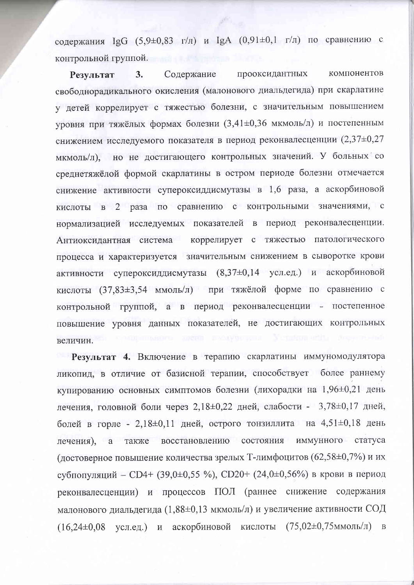содержания IgG (5,9±0,83 г/л) и IgA (0,91±0,1 г/л) по сравнению с контрольной группой.

прооксидантных компонентов Содержание  $3.$ **Результат** свободнорадикального окисления (малонового диальдегида) при скарлатине у детей коррелирует с тяжестью болезни, с значительным повышением уровня при тяжёлых формах болезни (3,41±0,36 мкмоль/л) и постепенным снижением исследуемого показателя в период реконвалесценции (2,37 $\pm$ 0,27 мкмоль/л), но не достигающего контрольных значений. У больных со среднетяжёлой формой скарлатины в остром периоде болезни отмечается снижение активности супероксиддисмутазы в 1,6 раза, а аскорбиновой кислоты в 2 раза по сравнению с контрольными значениями, с нормализацией исследуемых показателей в период реконвалесценции. коррелирует с тяжестью патологического Антиоксидантная система процесса и характеризуется значительным снижением в сыворотке крови активности супероксиддисмутазы (8,37±0,14 усл.ед.) и аскорбиновой кислоты (37,83±3,54 ммоль/л) при тяжёлой форме по сравнению с контрольной группой, а в период реконвалесценции - постепенное повышение уровня данных показателей, не достигающих контрольных величин.

Результат 4. Включение в терапию скарлатины иммуномодулятора ликопид, в отличие от базисной терапии, способствует более раннему купированию основных симптомов болезни (лихорадки на 1,96±0,21 день лечения, головной боли через 2,18±0,22 дней, слабости - 3,78±0,17 дней, болей в горле - 2,18 $\pm$ 0,11 дней, острого тонзиллита на 4,51 $\pm$ 0,18 день лечения), а также восстановлению состояния иммунного статуса (достоверное повышение количества зрелых Т-лимфоцитов (62,58±0,7%) и их субпопуляций - CD4+ (39,0±0,55 %), CD20+ (24,0±0,56%) в крови в период реконвалесценции) и процессов ПОЛ (раннее снижение содержания малонового диальдегида (1,88±0,13 мкмоль/л) и увеличение активности СОД  $(16,24\pm0.08)$  усл.ед.) и аскорбиновой кислоты  $(75,02\pm0.75)$ ммоль/л) в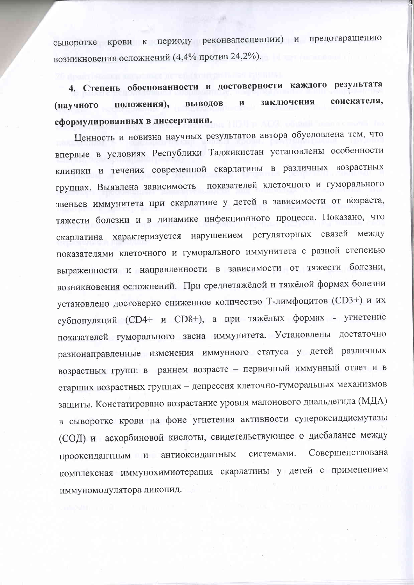сыворотке крови к периоду реконвалесценции) и предотвращению возникновения осложнений (4,4% против 24,2%).

4. Степень обоснованности и достоверности каждого результата заключения соискателя, выводов  $\mathbf{M}$ положения), (научного сформулированных в диссертации.

Ценность и новизна научных результатов автора обусловлена тем, что впервые в условиях Республики Таджикистан установлены особенности клиники и течения современной скарлатины в различных возрастных группах. Выявлена зависимость показателей клеточного и гуморального звеньев иммунитета при скарлатине у детей в зависимости от возраста, тяжести болезни и в динамике инфекционного процесса. Показано, что скарлатина характеризуется нарушением регуляторных связей между показателями клеточного и гуморального иммунитета с разной степенью выраженности и направленности в зависимости от тяжести болезни, возникновения осложнений. При среднетяжёлой и тяжёлой формах болезни установлено достоверно сниженное количество Т-лимфоцитов (CD3+) и их субпопуляций (CD4+ и CD8+), а при тяжёлых формах - угнетение показателей гуморального звена иммунитета. Установлены достаточно разнонаправленные изменения иммунного статуса у детей различных возрастных групп: в раннем возрасте - первичный иммунный ответ и в старших возрастных группах - депрессия клеточно-гуморальных механизмов защиты. Констатировано возрастание уровня малонового диальдегида (МДА) в сыворотке крови на фоне угнетения активности супероксиддисмутазы (СОД) и аскорбиновой кислоты, свидетельствующее о дисбалансе между Совершенствована прооксидантным и антиоксидантным системами. комплексная иммунохимиотерапия скарлатины у детей с применением иммуномодулятора ликопид.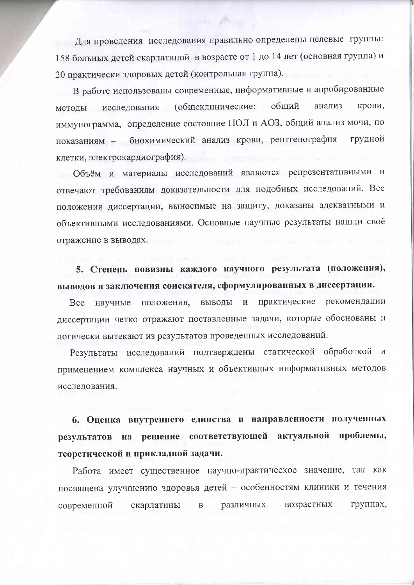Для проведения исследования правильно определены целевые группы: 158 больных детей скарлатиной в возрасте от 1 до 14 лет (основная группа) и 20 практически здоровых детей (контрольная группа).

В работе использованы современные, информативные и апробированные методы исследования (общеклинические: общий крови. анализ иммунограмма, определение состояние ПОЛ и АОЗ, общий анализ мочи, по показаниям - биохимический анализ крови, рентгенография грудной клетки, электрокардиография).

Объём и материалы исследований являются репрезентативными и отвечают требованиям доказательности для подобных исследований. Все положения диссертации, выносимые на защиту, доказаны адекватными и объективными исследованиями. Основные научные результаты нашли своё отражение в выводах.

5. Степень новизны каждого научного результата (положения), выводов и заключения соискателя, сформулированных в диссертации.

практические рекомендации **Bce** научные положения, выводы и диссертации четко отражают поставленные задачи, которые обоснованы и логически вытекают из результатов проведенных исследований.

Результаты исследований подтверждены статической обработкой и применением комплекса научных и объективных информативных методов исследования.

6. Оценка внутреннего единства и направленности полученных результатов на решение соответствующей актуальной проблемы, теоретической и прикладной задачи.

Работа имеет существенное научно-практическое значение, так как посвящена улучшению здоровья детей - особенностям клиники и течения современной скарлатины различных возрастных групнах,  $\, {\bf B}$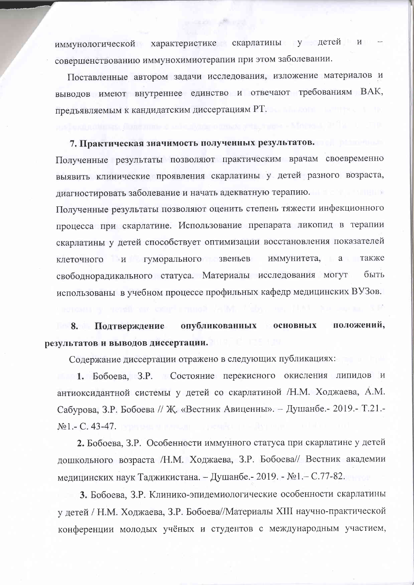иммунологической характеристике скарлатины у детей и совершенствованию иммунохимиотерапии при этом заболевании.

Поставленные автором задачи исследования, изложение материалов и выводов имеют внутреннее единство и отвечают требованиям ВАК, предъявляемым к кандидатским диссертациям РТ.

## 7. Практическая значимость полученных результатов.

Полученные результаты позволяют практическим врачам своевременно выявить клинические проявления скарлатины у детей разного возраста, лиагностировать заболевание и начать адекватную терапию. Полученные результаты позволяют оценить степень тяжести инфекционного процесса при скарлатине. Использование препарата ликопид в терапии скарлатины у детей способствует оптимизации восстановления показателей клеточного и гуморального звеньев иммунитета, а также свободнорадикального статуса. Материалы исследования могут быть использованы в учебном процессе профильных кафедр медицинских ВУЗов.

положений, 8. Подтверждение опубликованных основных результатов и выводов диссертации.

Содержание диссертации отражено в следующих публикациях:

1. Бобоева, З.Р. Состояние перекисного окисления липидов и антиоксидантной системы у детей со скарлатиной /Н.М. Ходжаева, А.М. Сабурова, З.Р. Бобоева // Ж. «Вестник Авиценны». - Душанбе. - 2019. - Т.21. -No<sub>1.</sub>- C. 43-47.

2. Бобоева, З.Р. Особенности иммунного статуса при скарлатине у детей дошкольного возраста /Н.М. Ходжаева, З.Р. Бобоева// Вестник академии медицинских наук Таджикистана. - Душанбе. - 2019. - №1. - С.77-82.

3. Бобоева, З.Р. Клинико-эпидемиологические особенности скарлатины у детей / Н.М. Ходжаева, З.Р. Бобоева//Материалы XIII научно-практической конференции молодых учёных и студентов с международным участием,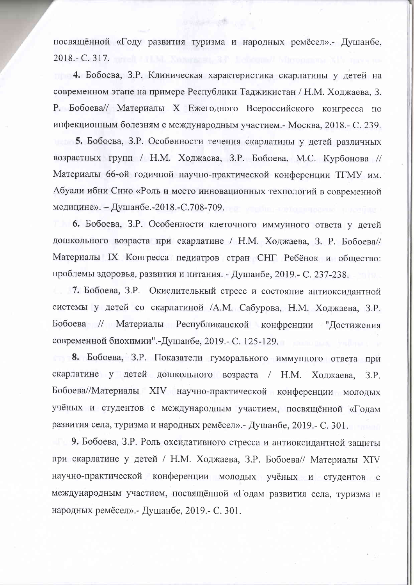посвящённой «Году развития туризма и народных ремёсел».- Душанбе, 2018.- C. 317. moreli and Montgomery 3.1. Lenopmel Micro

Verberte alle und

4. Бобоева, З.Р. Клиническая характеристика скарлатины у детей на современном этапе на примере Республики Таджикистан / Н.М. Ходжаева, З. Р. Бобоева// Материалы X Ежегодного Всероссийского конгресса по инфекционным болезням с международным участием. - Москва, 2018. - С. 239. 5. Бобоева, З.Р. Особенности течения скарлатины у детей различных возрастных групп / Н.М. Ходжаева, З.Р. Бобоева, М.С. Курбонова // Материалы 66-ой годичной научно-практической конференции ТГМУ им. Абуали ибни Сино «Роль и место инновационных технологий в современной медицине». – Душанбе.-2018.-С.708-709.

6. Бобоева, З.Р. Особенности клеточного иммунного ответа у детей дошкольного возраста при скарлатине / Н.М. Ходжаева, З. Р. Бобоева// Материалы IX Конгресса педиатров стран СНГ Ребёнок и общество: проблемы здоровья, развития и питания. - Душанбе, 2019.- С. 237-238.

7. Бобоева, З.Р. Окислительный стресс и состояние антиоксидантной системы у детей со скарлатиной /А.М. Сабурова, Н.М. Ходжаева, З.Р. Бобоева // Материалы Республиканской конфренции "Достижения современной биохимии".-Душанбе, 2019. - С. 125-129.

8. Бобоева, З.Р. Показатели гуморального иммунного ответа при скарлатине у детей дошкольного возраста / Н.М. Ходжаева,  $3.P.$ Бобоева//Материалы XIV научно-практической конференции молодых учёных и студентов с международным участием, посвящённой «Годам развития села, туризма и народных ремёсел». - Душанбе, 2019. - С. 301.

9. Бобоева, З.Р. Роль оксидативного стресса и антиоксидантной защиты при скарлатине у детей / Н.М. Ходжаева, З.Р. Бобоева// Материалы XIV научно-практической конференции молодых учёных и студентов с международным участием, посвящённой «Годам развития села, туризма и народных ремёсел». - Душанбе, 2019. - С. 301.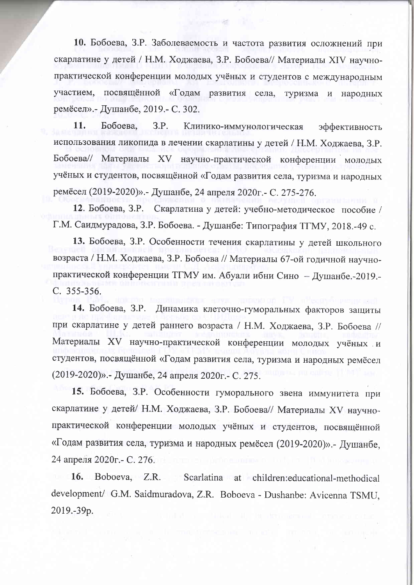10. Бобоева, З.Р. Заболеваемость и частота развития осложнений при скарлатине у детей / Н.М. Ходжаева, З.Р. Бобоева// Материалы XIV научнопрактической конференции молодых учёных и студентов с международным посвящённой «Годам развития села, туризма участием,  $\overline{M}$ народных ремёсел».- Душанбе, 2019.- С. 302.

11. Бобоева. 3.P. Клинико-иммунологическая эффективность использования ликопида в лечении скарлатины у детей / Н.М. Ходжаева, З.Р. Бобоева// Материалы XV научно-практической конференции молодых учёных и студентов, посвящённой «Годам развития села, туризма и народных ремёсел (2019-2020)». - Душанбе, 24 апреля 2020г. - С. 275-276.

Скарлатина у детей: учебно-методическое пособие / 12. Бобоева, З.Р. Г.М. Саидмурадова, З.Р. Бобоева. - Душанбе: Типография ТГМУ, 2018.-49 с.

13. Бобоева, З.Р. Особенности течения скарлатины у детей школьного возраста / Н.М. Ходжаева, З.Р. Бобоева // Материалы 67-ой годичной научнопрактической конференции ТГМУ им. Абуали ибни Сино - Душанбе.-2019.-C. 355-356.

14. Бобоева, З.Р. Динамика клеточно-гуморальных факторов защиты при скарлатине у детей раннего возраста / Н.М. Ходжаева, З.Р. Бобоева // Материалы XV научно-практической конференции молодых учёных и студентов, посвящённой «Годам развития села, туризма и народных ремёсел (2019-2020)». - Душанбе, 24 апреля 2020г. - С. 275.

15. Бобоева, З.Р. Особенности гуморального звена иммунитета при скарлатине у детей/ Н.М. Ходжаева, З.Р. Бобоева// Материалы XV научнопрактической конференции молодых учёных и студентов, посвящённой «Годам развития села, туризма и народных ремёсел (2019-2020)».- Душанбе, 24 апреля 2020г. - С. 276.

16. Boboeva, Z.R. Scarlatina at children:educational-methodical development/ G.M. Saidmuradova, Z.R. Boboeva - Dushanbe: Avicenna TSMU. 2019.-39p.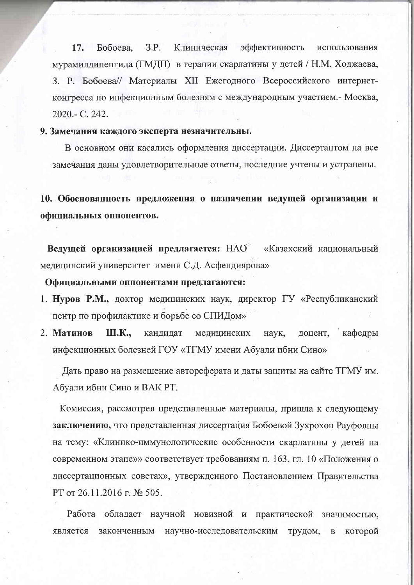17. Бобоева, 3.P. Клиническая эффективность использования мурамилдипептида (ГМДП) в терапии скарлатины у детей / Н.М. Ходжаева, 3. Р. Бобоева// Материалы XII Ежегодного Всероссийского интернетконгресса по инфекционным болезням с международным участием.- Москва, 2020.- C. 242.

## 9. Замечания каждого эксперта незначительны.

В основном они касались оформления диссертации. Диссертантом на все замечания даны удовлетворительные ответы, последние учтены и устранены.

10. Обоснованность предложения о назначении ведущей организации и официальных оппонентов.

Ведущей организацией предлагается: НАО «Казахский национальный медицинский университет имени С.Д. Асфендиярова»

Официальными оппонентами предлагаются:

- 1. Нуров Р.М., доктор медицинских наук, директор ГУ «Республиканский центр по профилактике и борьбе со СПИДом»
- 2. Матинов Ш.К., кафедры кандидат медицинских наук, доцент, инфекционных болезней ГОУ «ТГМУ имени Абуали ибни Сино»

Дать право на размещение автореферата и даты защиты на сайте ТГМУ им. Абуали ибни Сино и ВАК РТ.

Комиссия, рассмотрев представленные материалы, пришла к следующему заключению, что представленная диссертация Бобоевой Зухрохон Рауфовны на тему: «Клинико-иммунологические особенности скарлатины у детей на современном этапе»» соответствует требованиям п. 163, гл. 10 «Положения о диссертационных советах», утвержденного Постановлением Правительства РТ от 26.11.2016 г. № 505.

Работа обладает научной новизной и практической значимостью, является законченным научно-исследовательским трудом,  $\, {\bf B}$ которой